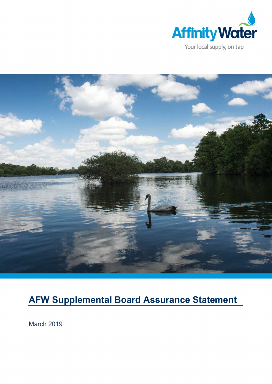



# AFW Supplemental Board Assurance Statement

March 2019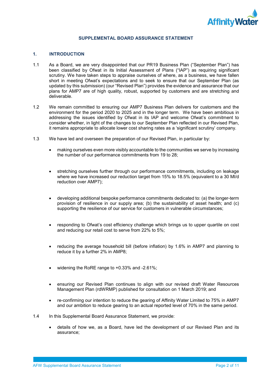

## SUPPLEMENTAL BOARD ASSURANCE STATEMENT

#### 1. INTRODUCTION

- 1.1 As a Board, we are very disappointed that our PR19 Business Plan ("September Plan") has been classified by Ofwat in its Initial Assessment of Plans ("IAP") as requiring significant scrutiny. We have taken steps to appraise ourselves of where, as a business, we have fallen short in meeting Ofwat's expectations and to seek to ensure that our September Plan (as updated by this submission) (our "Revised Plan") provides the evidence and assurance that our plans for AMP7 are of high quality, robust, supported by customers and are stretching and deliverable.
- 1.2 We remain committed to ensuring our AMP7 Business Plan delivers for customers and the environment for the period 2020 to 2025 and in the longer term. We have been ambitious in addressing the issues identified by Ofwat in its IAP and welcome Ofwat's commitment to consider whether, in light of the changes to our September Plan reflected in our Revised Plan. it remains appropriate to allocate lower cost sharing rates as a 'significant scrutiny' company.
- 1.3 We have led and overseen the preparation of our Revised Plan, in particular by:
	- making ourselves even more visibly accountable to the communities we serve by increasing the number of our performance commitments from 19 to 28;
	- stretching ourselves further through our performance commitments, including on leakage where we have increased our reduction target from 15% to 18.5% (equivalent to a 30 Ml/d reduction over AMP7);
	- developing additional bespoke performance commitments dedicated to: (a) the longer-term provision of resilience in our supply area; (b) the sustainability of asset health; and (c) supporting the resilience of our service for customers in vulnerable circumstances;
	- responding to Ofwat's cost efficiency challenge which brings us to upper quartile on cost and reducing our retail cost to serve from 22% to 5%;
	- reducing the average household bill (before inflation) by 1.6% in AMP7 and planning to reduce it by a further 2% in AMP8;
	- widening the RoRE range to +0.33% and -2.61%;
	- ensuring our Revised Plan continues to align with our revised draft Water Resources Management Plan (rdWRMP) published for consultation on 1 March 2019; and
	- re-confirming our intention to reduce the gearing of Affinity Water Limited to 75% in AMP7 and our ambition to reduce gearing to an actual reported level of 70% in the same period.
- 1.4 In this Supplemental Board Assurance Statement, we provide:
	- details of how we, as a Board, have led the development of our Revised Plan and its assurance;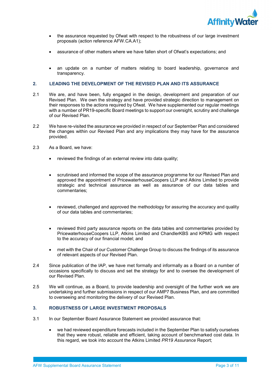

- the assurance requested by Ofwat with respect to the robustness of our large investment proposals (action reference AFW.CA.A1);
- assurance of other matters where we have fallen short of Ofwat's expectations; and
- an update on a number of matters relating to board leadership, governance and transparency.

## 2. LEADING THE DEVELOPMENT OF THE REVISED PLAN AND ITS ASSURANCE

- 2.1 We are, and have been, fully engaged in the design, development and preparation of our Revised Plan. We own the strategy and have provided strategic direction to management on their responses to the actions required by Ofwat. We have supplemented our regular meetings with a number of PR19-specific Board meetings to support our oversight, scrutiny and challenge of our Revised Plan.
- 2.2 We have re-visited the assurance we provided in respect of our September Plan and considered the changes within our Revised Plan and any implications they may have for the assurance provided.
- 2.3 As a Board, we have:
	- reviewed the findings of an external review into data quality;
	- scrutinised and informed the scope of the assurance programme for our Revised Plan and approved the appointment of PricewaterhouseCoopers LLP and Atkins Limited to provide strategic and technical assurance as well as assurance of our data tables and commentaries;
	- reviewed, challenged and approved the methodology for assuring the accuracy and quality of our data tables and commentaries;
	- reviewed third party assurance reports on the data tables and commentaries provided by PricewaterhouseCoopers LLP, Atkins Limited and ChandlerKBS and KPMG with respect to the accuracy of our financial model; and
	- met with the Chair of our Customer Challenge Group to discuss the findings of its assurance of relevant aspects of our Revised Plan.
- 2.4 Since publication of the IAP, we have met formally and informally as a Board on a number of occasions specifically to discuss and set the strategy for and to oversee the development of our Revised Plan.
- 2.5 We will continue, as a Board, to provide leadership and oversight of the further work we are undertaking and further submissions in respect of our AMP7 Business Plan, and are committed to overseeing and monitoring the delivery of our Revised Plan.

# 3. ROBUSTNESS OF LARGE INVESTMENT PROPOSALS

- 3.1 In our September Board Assurance Statement we provided assurance that:
	- we had reviewed expenditure forecasts included in the September Plan to satisfy ourselves that they were robust, reliable and efficient, taking account of benchmarked cost data. In this regard, we took into account the Atkins Limited PR19 Assurance Report;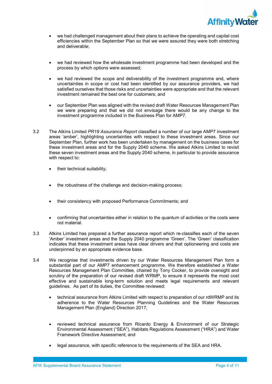

- we had challenged management about their plans to achieve the operating and capital cost efficiencies within the September Plan so that we were assured they were both stretching and deliverable;
- we had reviewed how the wholesale investment programme had been developed and the process by which options were assessed;
- we had reviewed the scope and deliverability of the investment programme and, where uncertainties in scope or cost had been identified by our assurance providers, we had satisfied ourselves that those risks and uncertainties were appropriate and that the relevant investment remained the best one for customers; and
- our September Plan was aligned with the revised draft Water Resources Management Plan we were preparing and that we did not envisage there would be any change to the investment programme included in the Business Plan for AMP7.
- 3.2 The Atkins Limited PR19 Assurance Report classified a number of our large AMP7 investment areas 'amber', highlighting uncertainties with respect to these investment areas. Since our September Plan, further work has been undertaken by management on the business cases for these investment areas and for the Supply 2040 scheme. We asked Atkins Limited to revisit these seven investment areas and the Supply 2040 scheme, in particular to provide assurance with respect to:
	- their technical suitability;
	- the robustness of the challenge and decision-making process;
	- their consistency with proposed Performance Commitments; and
	- confirming that uncertainties either in relation to the quantum of activities or the costs were not material.
- 3.3 Atkins Limited has prepared a further assurance report which re-classifies each of the seven 'Amber' investment areas and the Supply 2040 programme 'Green'. The 'Green' classification indicates that these investment areas have clear drivers and that optioneering and costs are underpinned by an appropriate evidence base.
- 3.4 We recognise that investments driven by our Water Resources Management Plan form a substantial part of our AMP7 enhancement programme. We therefore established a Water Resources Management Plan Committee, chaired by Tony Cocker, to provide oversight and scrutiny of the preparation of our revised draft WRMP, to ensure it represents the most cost effective and sustainable long-term solution and meets legal requirements and relevant guidelines. As part of its duties, the Committee reviewed:
	- technical assurance from Atkins Limited with respect to preparation of our rdWRMP and its adherence to the Water Resources Planning Guidelines and the Water Resources Management Plan (England) Direction 2017;
	- reviewed technical assurance from Ricardo Energy & Environment of our Strategic Environmental Assessment ("SEA"), Habitats Regulations Assessment ("HRA") and Water Framework Directive Assessment; and
	- legal assurance, with specific reference to the requirements of the SEA and HRA.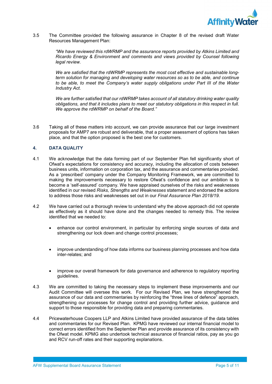

3.5 The Committee provided the following assurance in Chapter 8 of the revised draft Water Resources Management Plan:

> "We have reviewed this rdWRMP and the assurance reports provided by Atkins Limited and Ricardo Energy & Environment and comments and views provided by Counsel following legal review.

> We are satisfied that the rdWRMP represents the most cost effective and sustainable longterm solution for managing and developing water resources so as to be able, and continue to be able, to meet the Company's water supply obligations under Part III of the Water Industry Act.

> We are further satisfied that our rdWRMP takes account of all statutory drinking water quality obligations, and that it includes plans to meet our statutory obligations in this respect in full. We approve the rdWRMP on behalf of the Board."

3.6 Taking all of these matters into account, we can provide assurance that our large investment proposals for AMP7 are robust and deliverable, that a proper assessment of options has taken place, and that the option proposed is the best one for customers.

## 4. DATA QUALITY

- 4.1 We acknowledge that the data forming part of our September Plan fell significantly short of Ofwat's expectations for consistency and accuracy, including the allocation of costs between business units, information on corporation tax, and the assurance and commentaries provided. As a 'prescribed' company under the Company Monitoring Framework, we are committed to making the improvements necessary to restore Ofwat's confidence and our ambition is to become a 'self-assured' company. We have appraised ourselves of the risks and weaknesses identified in our revised Risks, Strengths and Weaknesses statement and endorsed the actions to address those risks and weaknesses set out in our Final Assurance Plan 2018/19.
- 4.2 We have carried out a thorough review to understand why the above approach did not operate as effectively as it should have done and the changes needed to remedy this. The review identified that we needed to:
	- enhance our control environment, in particular by enforcing single sources of data and strengthening our lock down and change control processes;
	- improve understanding of how data informs our business planning processes and how data inter-relates; and
	- improve our overall framework for data governance and adherence to regulatory reporting guidelines.
- 4.3 We are committed to taking the necessary steps to implement these improvements and our Audit Committee will oversee this work. For our Revised Plan, we have strengthened the assurance of our data and commentaries by reinforcing the "three lines of defence" approach, strengthening our processes for change control and providing further advice, guidance and support to those responsible for providing data and preparing commentaries.
- 4.4 Pricewaterhouse Coopers LLP and Atkins Limited have provided assurance of the data tables and commentaries for our Revised Plan. KPMG have reviewed our internal financial model to correct errors identified from the September Plan and provide assurance of its consistency with the Ofwat model. KPMG also undertook technical assurance of financial ratios, pay as you go and RCV run-off rates and their supporting explanations.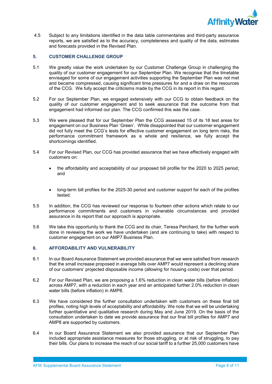

 4.5 Subject to any limitations identified in the data table commentaries and third-party assurance reports, we are satisfied as to the accuracy, completeness and quality of the data, estimates and forecasts provided in the Revised Plan.

## 5. CUSTOMER CHALLENGE GROUP

- 5.1 We greatly value the work undertaken by our Customer Challenge Group in challenging the quality of our customer engagement for our September Plan. We recognise that the timetable envisaged for some of our engagement activities supporting the September Plan was not met and became compressed, causing significant time pressures for and a draw on the resources of the CCG. We fully accept the criticisms made by the CCG in its report in this regard.
- 5.2 For our September Plan, we engaged extensively with our CCG to obtain feedback on the quality of our customer engagement and to seek assurance that the outcome from that engagement had informed our plan. The CCG confirmed this was the case.
- 5.3 We were pleased that for our September Plan the CCG assessed 15 of its 18 test areas for engagement on our Business Plan 'Green'. While disappointed that our customer engagement did not fully meet the CCG's tests for effective customer engagement on long term risks, the performance commitment framework as a whole and resilience, we fully accept the shortcomings identified.
- 5.4 For our Revised Plan, our CCG has provided assurance that we have effectively engaged with customers on:
	- the affordability and acceptability of our proposed bill profile for the 2020 to 2025 period; and
	- long-term bill profiles for the 2025-30 period and customer support for each of the profiles tested.
- 5.5 In addition, the CCG has reviewed our response to fourteen other actions which relate to our performance commitments and customers in vulnerable circumstances and provided assurance in its report that our approach is appropriate.
- 5.6 We take this opportunity to thank the CCG and its chair, Teresa Perchard, for the further work done in reviewing the work we have undertaken (and are continuing to take) with respect to customer engagement on our AMP7 Business Plan.

## 6. AFFORDABILITY AND VULNERABILITY

- 6.1 In our Board Assurance Statement we provided assurance that we were satisfied from research that the small increase proposed in average bills over AMP7 would represent a declining share of our customers' projected disposable income (allowing for housing costs) over that period.
- 6.2 For our Revised Plan, we are proposing a 1.6% reduction in clean water bills (before inflation) across AMP7, with a reduction in each year and an anticipated further 2.0% reduction in clean water bills (before inflation) in AMP8.
- 6.3 We have considered the further consultation undertaken with customers on these final bill profiles, noting high levels of acceptability and affordability. We note that we will be undertaking further quantitative and qualitative research during May and June 2019. On the basis of the consultation undertaken to date we provide assurance that our final bill profiles for AMP7 and AMP8 are supported by customers.
- 6.4 In our Board Assurance Statement we also provided assurance that our September Plan included appropriate assistance measures for those struggling, or at risk of struggling, to pay their bills. Our plans to increase the reach of our social tariff to a further 25,000 customers have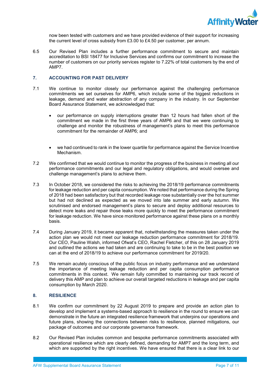

now been tested with customers and we have provided evidence of their support for increasing the current level of cross subsidy from £3.00 to £4.50 per customer, per annum.

6.5 Our Revised Plan includes a further performance commitment to secure and maintain accreditation to BSI 18477 for Inclusive Services and confirms our commitment to increase the number of customers on our priority services register to 7.22% of total customers by the end of AMP7.

## 7. ACCOUNTING FOR PAST DELIVERY

- 7.1 We continue to monitor closely our performance against the challenging performance commitments we set ourselves for AMP6, which include some of the biggest reductions in leakage, demand and water abstraction of any company in the industry. In our September Board Assurance Statement, we acknowledged that:
	- our performance on supply interruptions greater than 12 hours had fallen short of the commitment we made in the first three years of AMP6 and that we were continuing to challenge and monitor the robustness of management's plans to meet this performance commitment for the remainder of AMP6; and
	- we had continued to rank in the lower quartile for performance against the Service Incentive Mechanism.
- 7.2 We confirmed that we would continue to monitor the progress of the business in meeting all our performance commitments and our legal and regulatory obligations, and would oversee and challenge management's plans to achieve them.
- 7.3 In October 2018, we considered the risks to achieving the 2018/19 performance commitments for leakage reduction and per capita consumption. We noted that performance during the Spring of 2018 had been satisfactory but that recorded leakage rose substantially over the hot summer but had not declined as expected as we moved into late summer and early autumn. We scrutinised and endorsed management's plans to secure and deploy additional resources to detect more leaks and repair those leaks more quickly to meet the performance commitment for leakage reduction. We have since monitored performance against these plans on a monthly basis.
- 7.4 During January 2019, it became apparent that, notwithstanding the measures taken under the action plan we would not meet our leakage reduction performance commitment for 2018/19. Our CEO, Pauline Walsh, informed Ofwat's CEO, Rachel Fletcher, of this on 28 January 2019 and outlined the actions we had taken and are continuing to take to be in the best position we can at the end of 2018/19 to achieve our performance commitment for 2019/20.
- 7.5 We remain acutely conscious of the public focus on industry performance and we understand the importance of meeting leakage reduction and per capita consumption performance commitments in this context. We remain fully committed to maintaining our track record of delivery this AMP and plan to achieve our overall targeted reductions in leakage and per capita consumption by March 2020.

#### 8. RESILIENCE

- 8.1 We confirm our commitment by 22 August 2019 to prepare and provide an action plan to develop and implement a systems-based approach to resilience in the round to ensure we can demonstrate in the future an integrated resilience framework that underpins our operations and future plans, showing the connections between risks to resilience, planned mitigations, our package of outcomes and our corporate governance framework.
- 8.2 Our Revised Plan includes common and bespoke performance commitments associated with operational resilience which are clearly defined, demanding for AMP7 and the long term, and which are supported by the right incentives. We have ensured that there is a clear link to our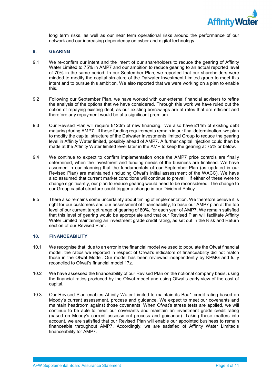

long term risks, as well as our near term operational risks around the performance of our network and our increasing dependency on cyber and digital technology.

#### 9. GEARING

- 9.1 We re-confirm our intent and the intent of our shareholders to reduce the gearing of Affinity Water Limited to 75% in AMP7 and our ambition to reduce gearing to an actual reported level of 70% in the same period. In our September Plan, we reported that our shareholders were minded to modify the capital structure of the Daiwater Investment Limited group to meet this intent and to pursue this ambition. We also reported that we were working on a plan to enable this.
- 9.2 Following our September Plan, we have worked with our external financial advisers to refine the analysis of the options that we have considered. Through this work we have ruled out the option of repaying existing debt, as our existing borrowings are at rates that are efficient and therefore any repayment would be at a significant premium.
- 9.3 Our Revised Plan will require £120m of new financing. We also have £14m of existing debt maturing during AMP7. If these funding requirements remain in our final determination, we plan to modify the capital structure of the Daiwater Investments limited Group to reduce the gearing level in Affinity Water limited, possibly ahead of AMP7. A further capital injection could then be made at the Affinity Water limited level later in the AMP to keep the gearing at 75% or below.
- 9.4 We continue to expect to confirm implementation once the AMP7 price controls are finally determined, when the investment and funding needs of the business are finalised. We have assumed in our planning that the fundamentals of our September Plan (as updated in our Revised Plan) are maintained (including Ofwat's initial assessment of the WACC). We have also assumed that current market conditions will continue to prevail. If either of these were to change significantly, our plan to reduce gearing would need to be reconsidered. The change to our Group capital structure could trigger a change in our Dividend Policy.
- 9.5 There also remains some uncertainty about timing of implementation. We therefore believe it is right for our customers and our assessment of financeability, to base our AMP7 plan at the top level of our current target range of gearing of 80%, for each year of AMP7. We remain satisfied that this level of gearing would be appropriate and that our Revised Plan will facilitate Affinity Water Limited maintaining an investment grade credit rating, as set out in the Risk and Return section of our Revised Plan.

#### 10. FINANCEABILITY

- 10.1 We recognise that, due to an error in the financial model we used to populate the Ofwat financial model, the ratios we reported in respect of Ofwat's indicators of financeability did not match those in the Ofwat Model. Our model has been reviewed independently by KPMG and fully reconciled to Ofwat's financial model 17z.
- 10.2 We have assessed the financeability of our Revised Plan on the notional company basis, using the financial ratios produced by the Ofwat model and using Ofwat's early view of the cost of capital.
- 10.3 Our Revised Plan enables Affinity Water Limited to maintain its Baa1 credit rating based on Moody's current assessment, process and guidance. We expect to meet our covenants and maintain headroom against those covenants. When Ofwat's stress tests are applied, we will continue to be able to meet our covenants and maintain an investment grade credit rating (based on Moody's current assessment process and guidance). Taking these matters into account, we are satisfied that our Revised Plan will enable our appointed business to remain financeable throughout AMP7. Accordingly, we are satisfied of Affinity Water Limited's financeability for AMP7.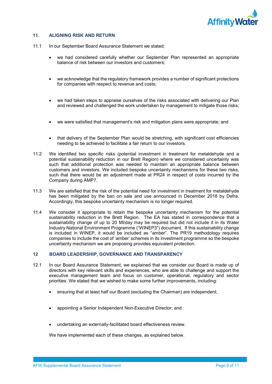

## 11. ALIGNING RISK AND RETURN

- 11.1 In our September Board Assurance Statement we stated:
	- we had considered carefully whether our September Plan represented an appropriate balance of risk between our investors and customers;
	- we acknowledge that the regulatory framework provides a number of significant protections for companies with respect to revenue and costs;
	- we had taken steps to appraise ourselves of the risks associated with delivering our Plan and reviewed and challenged the work undertaken by management to mitigate those risks;
	- we were satisfied that management's risk and mitigation plans were appropriate; and
	- that delivery of the September Plan would be stretching, with significant cost efficiencies needing to be achieved to facilitate a fair return to our investors.
- 11.2 We identified two specific risks (potential investment in treatment for metaldehyde and a potential sustainability reduction in our Brett Region) where we considered uncertainty was such that additional protection was needed to maintain an appropriate balance between customers and investors. We included bespoke uncertainty mechanisms for these two risks, such that there would be an adjustment made at PR24 in respect of costs incurred by the Company during AMP7.
- 11.3 We are satisfied that the risk of the potential need for investment in treatment for metaldehyde has been mitigated by the ban on sale and use announced in December 2018 by Defra. Accordingly, this bespoke uncertainty mechanism is no longer required.
- 11.4 We consider it appropriate to retain the bespoke uncertainty mechanism for the potential sustainability reduction in the Brett Region. The EA has stated in correspondence that a sustainability change of up to 20 Ml/day may be required but did not include it in its Water Industry National Environment Programme ("WINEP3") document. If this sustainability change is included in WINEP, it would be included as "amber". The PR19 methodology requires companies to include the cost of 'amber' schemes in its investment programme so the bespoke uncertainty mechanism we are proposing provides equivalent protection.

#### 12 BOARD LEADERSHIP, GOVERNANCE AND TRANSPARENCY

- 12.1 In our Board Assurance Statement, we explained that we consider our Board is made up of directors with key relevant skills and experiences, who are able to challenge and support the executive management team and focus on customer, operational, regulatory and sector priorities. We stated that we wished to make some further improvements, including:
	- ensuring that at least half our Board (excluding the Chairman) are independent;
	- appointing a Senior Independent Non-Executive Director; and
	- undertaking an externally-facilitated board effectiveness review.

We have implemented each of these changes, as explained below.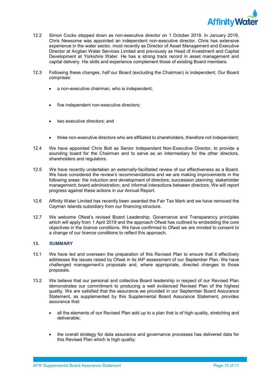

- 12.2 Simon Cocks stepped down as non-executive director on 1 October 2018. In January 2019, Chris Newsome was appointed an independent non-executive director. Chris has extensive experience in the water sector, most recently as Director of Asset Management and Executive Director at Anglian Water Services Limited and previously as Head of Investment and Capital Development at Yorkshire Water. He has a strong track record in asset management and capital delivery. His skills and experience complement those of existing Board members.
- 12.3 Following these changes, half our Board (excluding the Chairman) is independent. Our Board comprises:
	- a non-executive chairman, who is independent;
	- five independent non-executive directors;
	- two executive directors; and
	- three non-executive directors who are affiliated to shareholders, therefore not independent;
- 12.4 We have appointed Chris Bolt as Senior Independent Non-Executive Director, to provide a sounding board for the Chairman and to serve as an intermediary for the other directors, shareholders and regulators.
- 12.5 We have recently undertaken an externally-facilitated review of our effectiveness as a Board. We have considered the review's recommendations and we are making improvements in the following areas: the induction and development of directors; succession planning; stakeholder management; board administration; and informal interactions between directors. We will report progress against these actions in our Annual Report.
- 12.6 Affinity Water Limited has recently been awarded the Fair Tax Mark and we have removed the Cayman Islands subsidiary from our financing structure.
- 12.7 We welcome Ofwat's revised Board Leadership, Governance and Transparency principles which will apply from 1 April 2019 and the approach Ofwat has outlined to embedding the core objectives in the licence conditions. We have confirmed to Ofwat we are minded to consent to a change of our licence conditions to reflect this approach.

#### 13. SUMMARY

- 13.1 We have led and overseen the preparation of this Revised Plan to ensure that it effectively addresses the issues raised by Ofwat in its IAP assessment of our September Plan. We have challenged management's proposals and, where appropriate, directed changes to those proposals.
- 13.2 We believe that our personal and collective Board leadership in respect of our Revised Plan demonstrates our commitment to producing a well evidenced Revised Plan of the highest quality. We are satisfied that the assurance we provided in our September Board Assurance Statement, as supplemented by this Supplemental Board Assurance Statement, provides assurance that:
	- all the elements of our Revised Plan add up to a plan that is of high quality, stretching and deliverable;
	- the overall strategy for data assurance and governance processes has delivered data for this Revised Plan which is high quality;